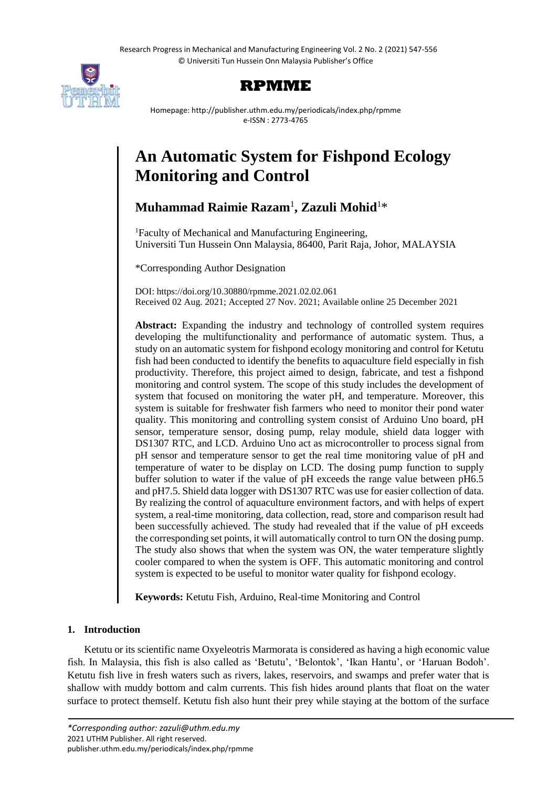

# **RPMME**

Homepage: http://publisher.uthm.edu.my/periodicals/index.php/rpmme e-ISSN : 2773-4765

# **An Automatic System for Fishpond Ecology Monitoring and Control**

# **Muhammad Raimie Razam**<sup>1</sup> **, Zazuli Mohid**<sup>1</sup>\*

<sup>1</sup>Faculty of Mechanical and Manufacturing Engineering, Universiti Tun Hussein Onn Malaysia, 86400, Parit Raja, Johor, MALAYSIA

\*Corresponding Author Designation

DOI: https://doi.org/10.30880/rpmme.2021.02.02.061 Received 02 Aug. 2021; Accepted 27 Nov. 2021; Available online 25 December 2021

**Abstract:** Expanding the industry and technology of controlled system requires developing the multifunctionality and performance of automatic system. Thus, a study on an automatic system for fishpond ecology monitoring and control for Ketutu fish had been conducted to identify the benefits to aquaculture field especially in fish productivity. Therefore, this project aimed to design, fabricate, and test a fishpond monitoring and control system. The scope of this study includes the development of system that focused on monitoring the water pH, and temperature. Moreover, this system is suitable for freshwater fish farmers who need to monitor their pond water quality. This monitoring and controlling system consist of Arduino Uno board, pH sensor, temperature sensor, dosing pump, relay module, shield data logger with DS1307 RTC, and LCD. Arduino Uno act as microcontroller to process signal from pH sensor and temperature sensor to get the real time monitoring value of pH and temperature of water to be display on LCD. The dosing pump function to supply buffer solution to water if the value of pH exceeds the range value between pH6.5 and pH7.5. Shield data logger with DS1307 RTC was use for easier collection of data. By realizing the control of aquaculture environment factors, and with helps of expert system, a real-time monitoring, data collection, read, store and comparison result had been successfully achieved. The study had revealed that if the value of pH exceeds the corresponding set points, it will automatically control to turn ON the dosing pump. The study also shows that when the system was ON, the water temperature slightly cooler compared to when the system is OFF. This automatic monitoring and control system is expected to be useful to monitor water quality for fishpond ecology.

**Keywords:** Ketutu Fish, Arduino, Real-time Monitoring and Control

## **1. Introduction**

Ketutu or its scientific name Oxyeleotris Marmorata is considered as having a high economic value fish. In Malaysia, this fish is also called as 'Betutu', 'Belontok', 'Ikan Hantu', or 'Haruan Bodoh'. Ketutu fish live in fresh waters such as rivers, lakes, reservoirs, and swamps and prefer water that is shallow with muddy bottom and calm currents. This fish hides around plants that float on the water surface to protect themself. Ketutu fish also hunt their prey while staying at the bottom of the surface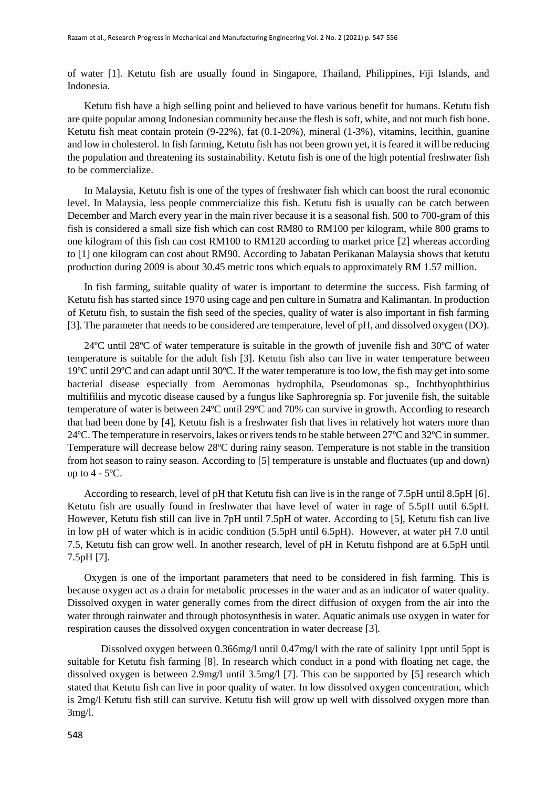of water [1]. Ketutu fish are usually found in Singapore, Thailand, Philippines, Fiji Islands, and Indonesia.

Ketutu fish have a high selling point and believed to have various benefit for humans. Ketutu fish are quite popular among Indonesian community because the flesh is soft, white, and not much fish bone. Ketutu fish meat contain protein (9-22%), fat (0.1-20%), mineral (1-3%), vitamins, lecithin, guanine and low in cholesterol. In fish farming, Ketutu fish has not been grown yet, it is feared it will be reducing the population and threatening its sustainability. Ketutu fish is one of the high potential freshwater fish to be commercialize.

In Malaysia, Ketutu fish is one of the types of freshwater fish which can boost the rural economic level. In Malaysia, less people commercialize this fish. Ketutu fish is usually can be catch between December and March every year in the main river because it is a seasonal fish. 500 to 700-gram of this fish is considered a small size fish which can cost RM80 to RM100 per kilogram, while 800 grams to one kilogram of this fish can cost RM100 to RM120 according to market price [2] whereas according to [1] one kilogram can cost about RM90. According to Jabatan Perikanan Malaysia shows that ketutu production during 2009 is about 30.45 metric tons which equals to approximately RM 1.57 million.

In fish farming, suitable quality of water is important to determine the success. Fish farming of Ketutu fish has started since 1970 using cage and pen culture in Sumatra and Kalimantan. In production of Ketutu fish, to sustain the fish seed of the species, quality of water is also important in fish farming [3]. The parameter that needs to be considered are temperature, level of pH, and dissolved oxygen (DO).

24ºC until 28ºC of water temperature is suitable in the growth of juvenile fish and 30ºC of water temperature is suitable for the adult fish [3]. Ketutu fish also can live in water temperature between 19ºC until 29ºC and can adapt until 30ºC. If the water temperature is too low, the fish may get into some bacterial disease especially from Aeromonas hydrophila, Pseudomonas sp., Inchthyophthirius multifiliis and mycotic disease caused by a fungus like Saphroregnia sp. For juvenile fish, the suitable temperature of water is between 24ºC until 29ºC and 70% can survive in growth. According to research that had been done by [4], Ketutu fish is a freshwater fish that lives in relatively hot waters more than 24ºC. The temperature in reservoirs, lakes or rivers tends to be stable between 27ºC and 32ºC in summer. Temperature will decrease below 28ºC during rainy season. Temperature is not stable in the transition from hot season to rainy season. According to [5] temperature is unstable and fluctuates (up and down) up to  $4 - 5^{\circ}C$ .

According to research, level of pH that Ketutu fish can live is in the range of 7.5pH until 8.5pH [6]. Ketutu fish are usually found in freshwater that have level of water in rage of 5.5pH until 6.5pH. However, Ketutu fish still can live in 7pH until 7.5pH of water. According to [5], Ketutu fish can live in low pH of water which is in acidic condition (5.5pH until 6.5pH). However, at water pH 7.0 until 7.5, Ketutu fish can grow well. In another research, level of pH in Ketutu fishpond are at 6.5pH until 7.5pH [7].

Oxygen is one of the important parameters that need to be considered in fish farming. This is because oxygen act as a drain for metabolic processes in the water and as an indicator of water quality. Dissolved oxygen in water generally comes from the direct diffusion of oxygen from the air into the water through rainwater and through photosynthesis in water. Aquatic animals use oxygen in water for respiration causes the dissolved oxygen concentration in water decrease [3].

Dissolved oxygen between 0.366mg/l until 0.47mg/l with the rate of salinity 1ppt until 5ppt is suitable for Ketutu fish farming [8]. In research which conduct in a pond with floating net cage, the dissolved oxygen is between 2.9mg/l until 3.5mg/l [7]. This can be supported by [5] research which stated that Ketutu fish can live in poor quality of water. In low dissolved oxygen concentration, which is 2mg/l Ketutu fish still can survive. Ketutu fish will grow up well with dissolved oxygen more than 3mg/l.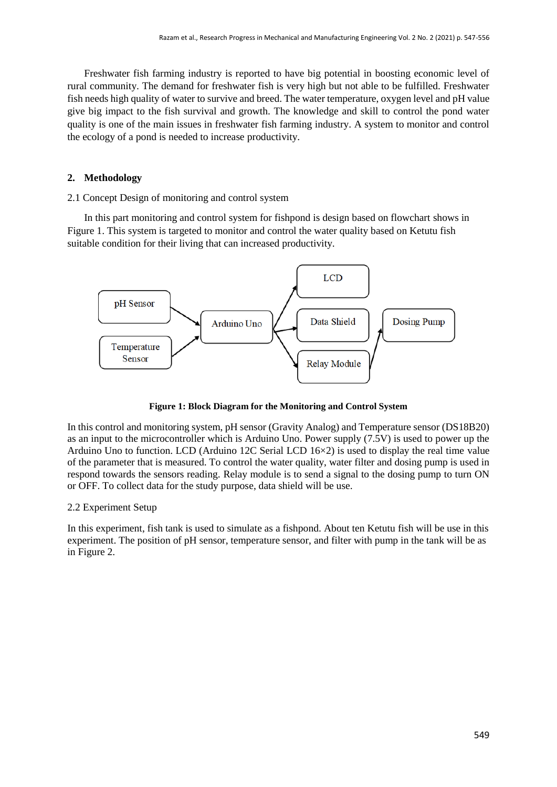Freshwater fish farming industry is reported to have big potential in boosting economic level of rural community. The demand for freshwater fish is very high but not able to be fulfilled. Freshwater fish needs high quality of water to survive and breed. The water temperature, oxygen level and pH value give big impact to the fish survival and growth. The knowledge and skill to control the pond water quality is one of the main issues in freshwater fish farming industry. A system to monitor and control the ecology of a pond is needed to increase productivity.

#### **2. Methodology**

2.1 Concept Design of monitoring and control system

In this part monitoring and control system for fishpond is design based on flowchart shows in Figure 1. This system is targeted to monitor and control the water quality based on Ketutu fish suitable condition for their living that can increased productivity.



**Figure 1: Block Diagram for the Monitoring and Control System**

In this control and monitoring system, pH sensor (Gravity Analog) and Temperature sensor (DS18B20) as an input to the microcontroller which is Arduino Uno. Power supply (7.5V) is used to power up the Arduino Uno to function. LCD (Arduino 12C Serial LCD 16×2) is used to display the real time value of the parameter that is measured. To control the water quality, water filter and dosing pump is used in respond towards the sensors reading. Relay module is to send a signal to the dosing pump to turn ON or OFF. To collect data for the study purpose, data shield will be use.

#### 2.2 Experiment Setup

In this experiment, fish tank is used to simulate as a fishpond. About ten Ketutu fish will be use in this experiment. The position of pH sensor, temperature sensor, and filter with pump in the tank will be as in Figure 2.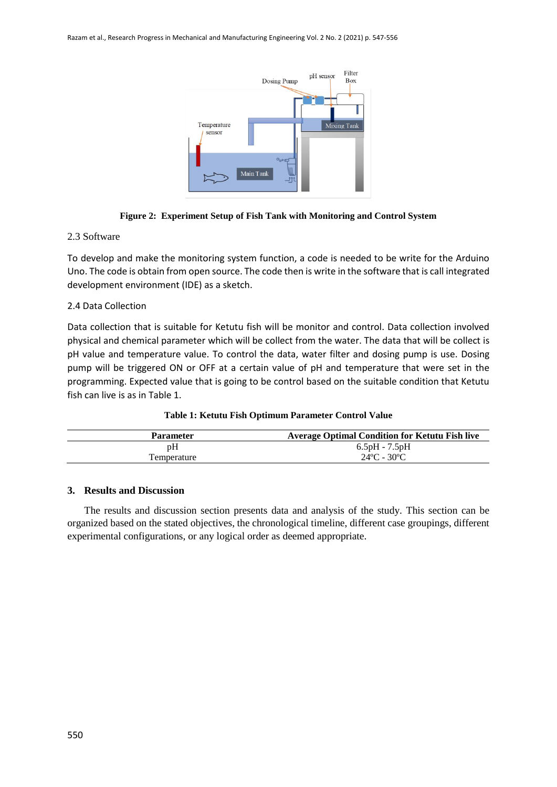

#### **Figure 2: Experiment Setup of Fish Tank with Monitoring and Control System**

#### 2.3 Software

To develop and make the monitoring system function, a code is needed to be write for the Arduino Uno. The code is obtain from open source. The code then is write in the software that is call integrated development environment (IDE) as a sketch.

#### 2.4 Data Collection

Data collection that is suitable for Ketutu fish will be monitor and control. Data collection involved physical and chemical parameter which will be collect from the water. The data that will be collect is pH value and temperature value. To control the data, water filter and dosing pump is use. Dosing pump will be triggered ON or OFF at a certain value of pH and temperature that were set in the programming. Expected value that is going to be control based on the suitable condition that Ketutu fish can live is as in Table 1.

|  |  | Table 1: Ketutu Fish Optimum Parameter Control Value |
|--|--|------------------------------------------------------|
|--|--|------------------------------------------------------|

| <b>Average Optimal Condition for Ketutu Fish live</b> |
|-------------------------------------------------------|
| 6.5pH - 7.5pH                                         |
| $24^{\circ}$ C - 30 $^{\circ}$ C                      |
|                                                       |

#### **3. Results and Discussion**

The results and discussion section presents data and analysis of the study. This section can be organized based on the stated objectives, the chronological timeline, different case groupings, different experimental configurations, or any logical order as deemed appropriate.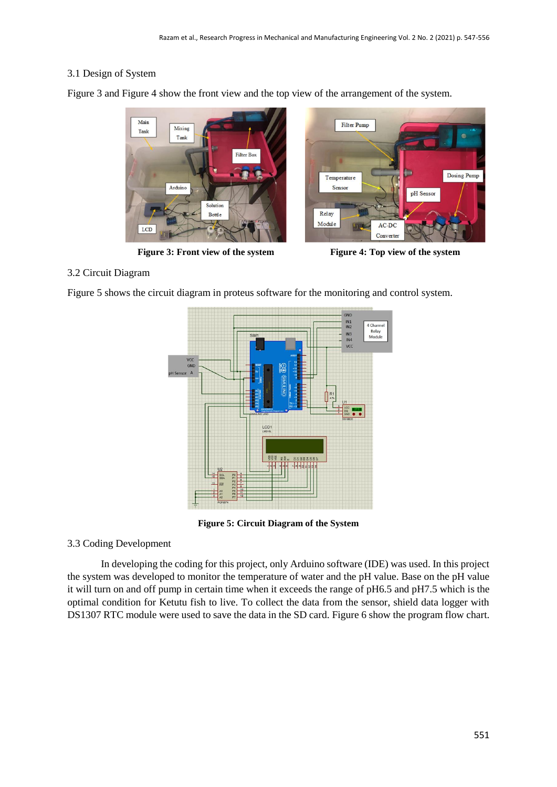#### 3.1 Design of System

Figure 3 and Figure 4 show the front view and the top view of the arrangement of the system.



**Figure 3: Front view of the system Figure 4: Top view of the system**



#### 3.2 Circuit Diagram

Figure 5 shows the circuit diagram in proteus software for the monitoring and control system.



**Figure 5: Circuit Diagram of the System**

#### 3.3 Coding Development

In developing the coding for this project, only Arduino software (IDE) was used. In this project the system was developed to monitor the temperature of water and the pH value. Base on the pH value it will turn on and off pump in certain time when it exceeds the range of pH6.5 and pH7.5 which is the optimal condition for Ketutu fish to live. To collect the data from the sensor, shield data logger with DS1307 RTC module were used to save the data in the SD card. Figure 6 show the program flow chart.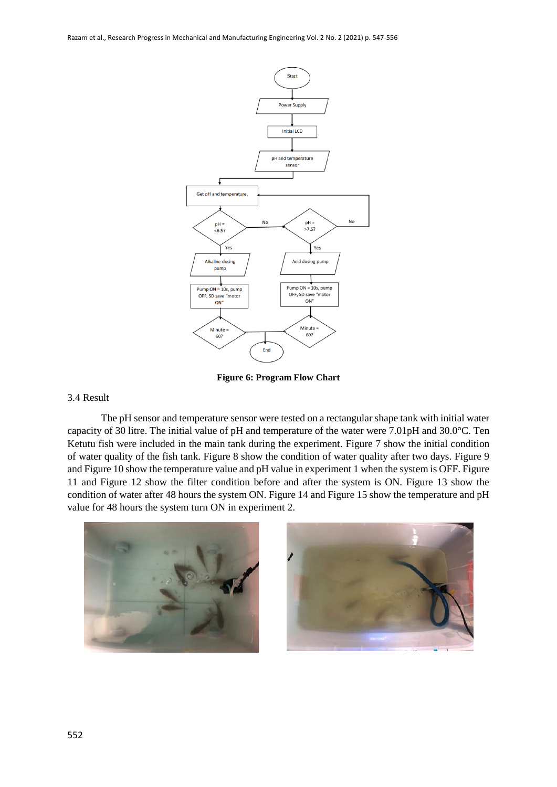Razam et al., Research Progress in Mechanical and Manufacturing Engineering Vol. 2 No. 2 (2021) p. 547-556



**Figure 6: Program Flow Chart**

#### 3.4 Result

The pH sensor and temperature sensor were tested on a rectangular shape tank with initial water capacity of 30 litre. The initial value of pH and temperature of the water were 7.01pH and 30.0°C. Ten Ketutu fish were included in the main tank during the experiment. Figure 7 show the initial condition of water quality of the fish tank. Figure 8 show the condition of water quality after two days. Figure 9 and Figure 10 show the temperature value and pH value in experiment 1 when the system is OFF. Figure 11 and Figure 12 show the filter condition before and after the system is ON. Figure 13 show the condition of water after 48 hours the system ON. Figure 14 and Figure 15 show the temperature and pH value for 48 hours the system turn ON in experiment 2.

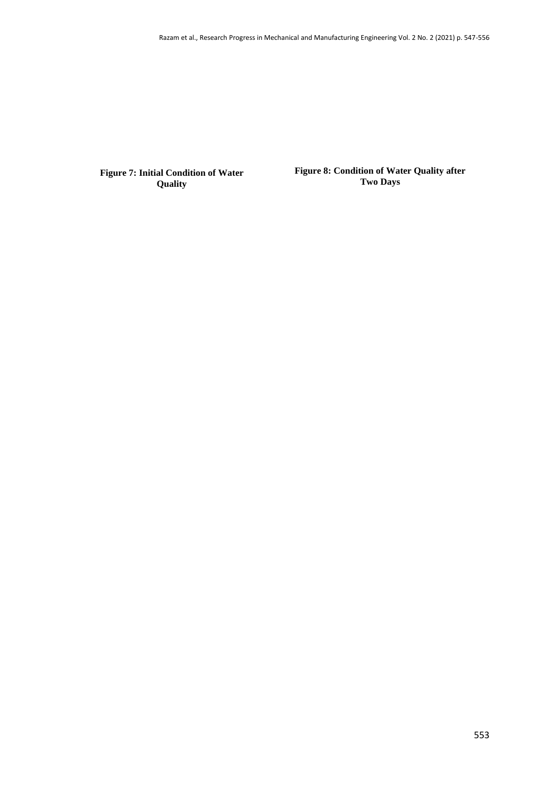**Figure 7: Initial Condition of Water Quality**

**Figure 8: Condition of Water Quality after Two Days**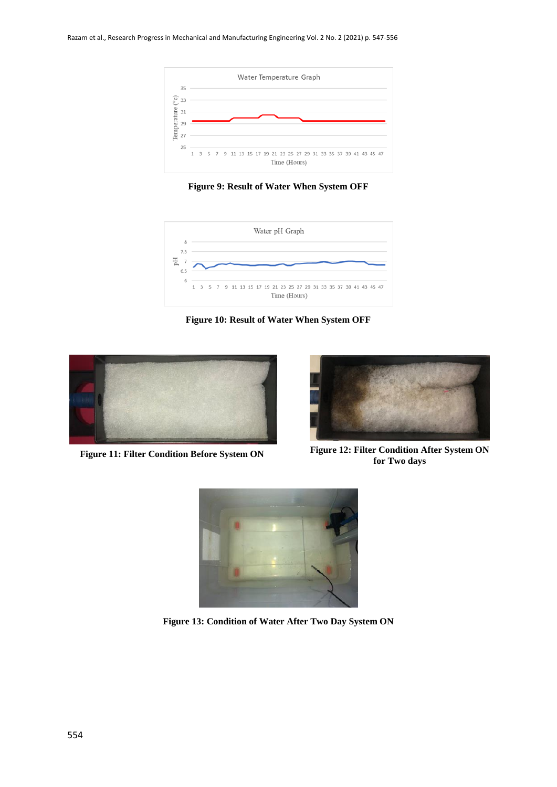

**Figure 9: Result of Water When System OFF**



**Figure 10: Result of Water When System OFF**





Figure 11: Filter Condition Before System ON **Figure 12: Filter Condition After System ON for Two days**



**Figure 13: Condition of Water After Two Day System ON**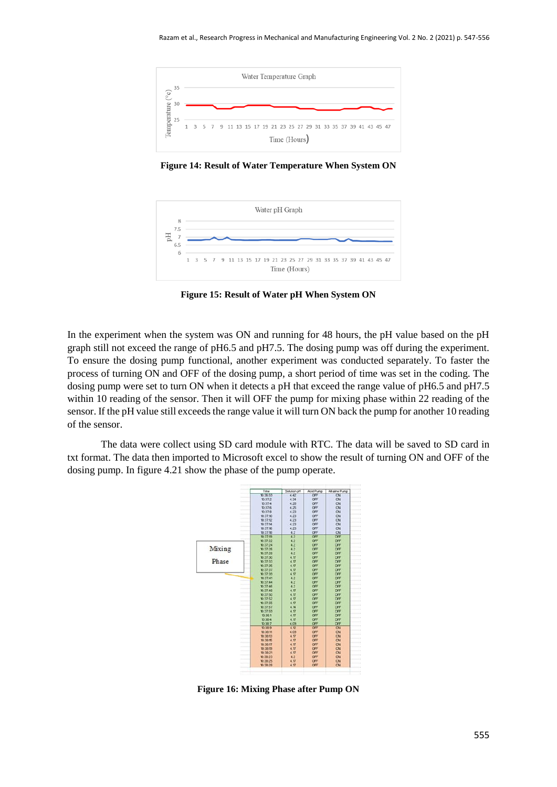

**Figure 14: Result of Water Temperature When System ON**



**Figure 15: Result of Water pH When System ON**

In the experiment when the system was ON and running for 48 hours, the pH value based on the pH graph still not exceed the range of pH6.5 and pH7.5. The dosing pump was off during the experiment. To ensure the dosing pump functional, another experiment was conducted separately. To faster the process of turning ON and OFF of the dosing pump, a short period of time was set in the coding. The dosing pump were set to turn ON when it detects a pH that exceed the range value of pH6.5 and pH7.5 within 10 reading of the sensor. Then it will OFF the pump for mixing phase within 22 reading of the sensor. If the pH value still exceeds the range value it will turn ON back the pump for another 10 reading of the sensor.

The data were collect using SD card module with RTC. The data will be saved to SD card in txt format. The data then imported to Microsoft excel to show the result of turning ON and OFF of the dosing pump. In figure 4.21 show the phase of the pump operate.



**Figure 16: Mixing Phase after Pump ON**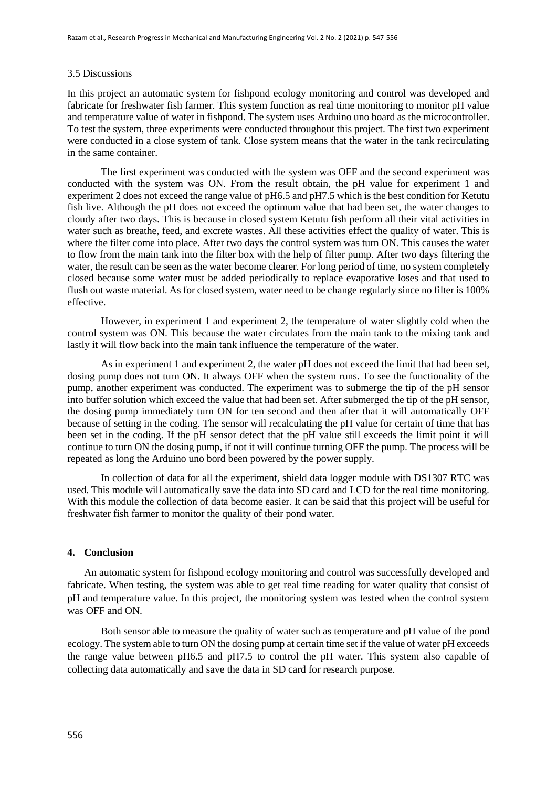#### 3.5 Discussions

In this project an automatic system for fishpond ecology monitoring and control was developed and fabricate for freshwater fish farmer. This system function as real time monitoring to monitor pH value and temperature value of water in fishpond. The system uses Arduino uno board as the microcontroller. To test the system, three experiments were conducted throughout this project. The first two experiment were conducted in a close system of tank. Close system means that the water in the tank recirculating in the same container.

The first experiment was conducted with the system was OFF and the second experiment was conducted with the system was ON. From the result obtain, the pH value for experiment 1 and experiment 2 does not exceed the range value of pH6.5 and pH7.5 which is the best condition for Ketutu fish live. Although the pH does not exceed the optimum value that had been set, the water changes to cloudy after two days. This is because in closed system Ketutu fish perform all their vital activities in water such as breathe, feed, and excrete wastes. All these activities effect the quality of water. This is where the filter come into place. After two days the control system was turn ON. This causes the water to flow from the main tank into the filter box with the help of filter pump. After two days filtering the water, the result can be seen as the water become clearer. For long period of time, no system completely closed because some water must be added periodically to replace evaporative loses and that used to flush out waste material. As for closed system, water need to be change regularly since no filter is 100% effective.

However, in experiment 1 and experiment 2, the temperature of water slightly cold when the control system was ON. This because the water circulates from the main tank to the mixing tank and lastly it will flow back into the main tank influence the temperature of the water.

As in experiment 1 and experiment 2, the water pH does not exceed the limit that had been set, dosing pump does not turn ON. It always OFF when the system runs. To see the functionality of the pump, another experiment was conducted. The experiment was to submerge the tip of the pH sensor into buffer solution which exceed the value that had been set. After submerged the tip of the pH sensor, the dosing pump immediately turn ON for ten second and then after that it will automatically OFF because of setting in the coding. The sensor will recalculating the pH value for certain of time that has been set in the coding. If the pH sensor detect that the pH value still exceeds the limit point it will continue to turn ON the dosing pump, if not it will continue turning OFF the pump. The process will be repeated as long the Arduino uno bord been powered by the power supply.

In collection of data for all the experiment, shield data logger module with DS1307 RTC was used. This module will automatically save the data into SD card and LCD for the real time monitoring. With this module the collection of data become easier. It can be said that this project will be useful for freshwater fish farmer to monitor the quality of their pond water.

#### **4. Conclusion**

An automatic system for fishpond ecology monitoring and control was successfully developed and fabricate. When testing, the system was able to get real time reading for water quality that consist of pH and temperature value. In this project, the monitoring system was tested when the control system was OFF and ON.

Both sensor able to measure the quality of water such as temperature and pH value of the pond ecology. The system able to turn ON the dosing pump at certain time set if the value of water pH exceeds the range value between pH6.5 and pH7.5 to control the pH water. This system also capable of collecting data automatically and save the data in SD card for research purpose.